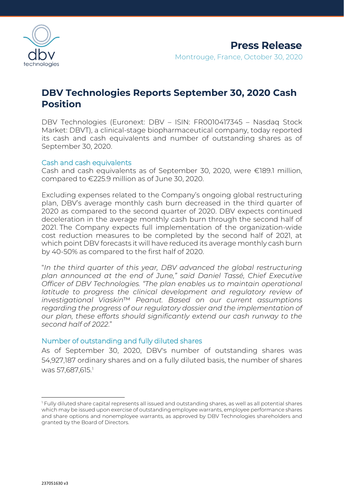

# **DBV Technologies Reports September 30, 2020 Cash Position**

DBV Technologies (Euronext: DBV – ISIN: FR0010417345 – Nasdaq Stock Market: DBVT), a clinical-stage biopharmaceutical company, today reported its cash and cash equivalents and number of outstanding shares as of September 30, 2020.

# Cash and cash equivalents

Cash and cash equivalents as of September 30, 2020, were €189.1 million, compared to €225.9 million as of June 30, 2020.

Excluding expenses related to the Company's ongoing global restructuring plan, DBV's average monthly cash burn decreased in the third quarter of 2020 as compared to the second quarter of 2020. DBV expects continued deceleration in the average monthly cash burn through the second half of 2021. The Company expects full implementation of the organization-wide cost reduction measures to be completed by the second half of 2021, at which point DBV forecasts it will have reduced its average monthly cash burn by 40-50% as compared to the first half of 2020.

"*In the third quarter of this year, DBV advanced the global restructuring plan announced at the end of June," said Daniel Tassé, Chief Executive Officer of DBV Technologies. "The plan enables us to maintain operational latitude to progress the clinical development and regulatory review of investigational Viaskin*™ *Peanut. Based on our current assumptions regarding the progress of our regulatory dossier and the implementation of our plan, these efforts should significantly extend our cash runway to the second half of 2022*."

# Number of outstanding and fully diluted shares

As of September 30, 2020, DBV's number of outstanding shares was 54,927,187 ordinary shares and on a fully diluted basis, the number of shares was 57,687,615. [1](#page-0-0)

l

<span id="page-0-0"></span><sup>1</sup> Fully diluted share capital represents all issued and outstanding shares, as well as all potential shares which may be issued upon exercise of outstanding employee warrants, employee performance shares and share options and nonemployee warrants, as approved by DBV Technologies shareholders and granted by the Board of Directors.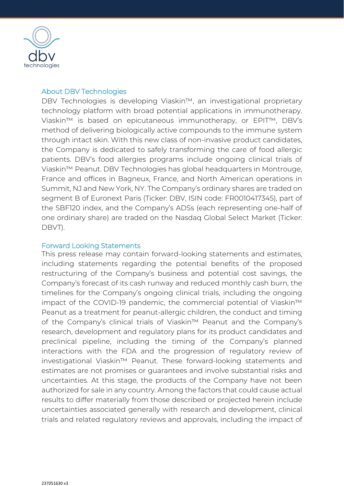

# About DBV Technologies

DBV Technologies is developing Viaskin™, an investigational proprietary technology platform with broad potential applications in immunotherapy. Viaskin™ is based on epicutaneous immunotherapy, or EPIT™, DBV's method of delivering biologically active compounds to the immune system through intact skin. With this new class of non-invasive product candidates, the Company is dedicated to safely transforming the care of food allergic patients. DBV's food allergies programs include ongoing clinical trials of Viaskin™ Peanut. DBV Technologies has global headquarters in Montrouge, France and offices in Bagneux, France, and North American operations in Summit, NJ and New York, NY. The Company's ordinary shares are traded on segment B of Euronext Paris (Ticker: DBV, ISIN code: FR0010417345), part of the SBF120 index, and the Company's ADSs (each representing one-half of one ordinary share) are traded on the Nasdaq Global Select Market (Ticker: DBVT).

# Forward Looking Statements

This press release may contain forward-looking statements and estimates, including statements regarding the potential benefits of the proposed restructuring of the Company's business and potential cost savings, the Company's forecast of its cash runway and reduced monthly cash burn, the timelines for the Company's ongoing clinical trials, including the ongoing impact of the COVID-19 pandemic, the commercial potential of Viaskin™ Peanut as a treatment for peanut-allergic children, the conduct and timing of the Company's clinical trials of Viaskin™ Peanut and the Company's research, development and regulatory plans for its product candidates and preclinical pipeline, including the timing of the Company's planned interactions with the FDA and the progression of regulatory review of investigational Viaskin™ Peanut. These forward-looking statements and estimates are not promises or guarantees and involve substantial risks and uncertainties. At this stage, the products of the Company have not been authorized for sale in any country. Among the factors that could cause actual results to differ materially from those described or projected herein include uncertainties associated generally with research and development, clinical trials and related regulatory reviews and approvals, including the impact of